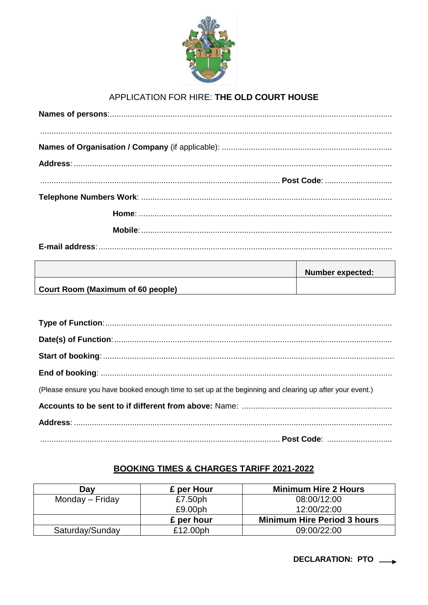

## APPLICATION FOR HIRE: THE OLD COURT HOUSE

|                                   | <b>Number expected:</b> |
|-----------------------------------|-------------------------|
| Court Room (Maximum of 60 people) |                         |

| (Please ensure you have booked enough time to set up at the beginning and clearing up after your event.) |
|----------------------------------------------------------------------------------------------------------|
|                                                                                                          |
|                                                                                                          |
|                                                                                                          |

## **BOOKING TIMES & CHARGES TARIFF 2021-2022**

| Day             | £ per Hour | <b>Minimum Hire 2 Hours</b>        |
|-----------------|------------|------------------------------------|
| Monday – Friday | £7.50ph    | 08:00/12:00                        |
|                 | £9.00ph    | 12:00/22:00                        |
|                 | £ per hour | <b>Minimum Hire Period 3 hours</b> |
| Saturday/Sunday | £12.00ph   | 09:00/22:00                        |